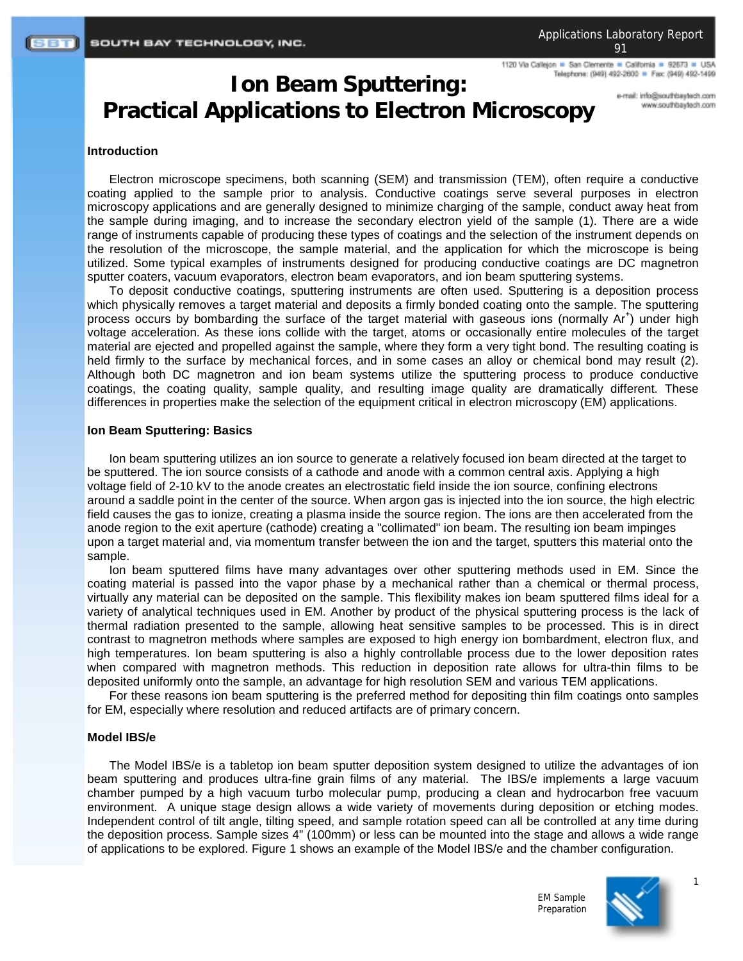1120 Via Calleion . San Clemente . California . 92673 . USA Telephone: (949) 492-2600 = Fax: (949) 492-1499

# **Ion Beam Sputtering: Practical Applications to Electron Microscopy**

e-mail: info@southbaytech.com moo.floeyeedrib.com

#### **Introduction**

Electron microscope specimens, both scanning (SEM) and transmission (TEM), often require a conductive coating applied to the sample prior to analysis. Conductive coatings serve several purposes in electron microscopy applications and are generally designed to minimize charging of the sample, conduct away heat from the sample during imaging, and to increase the secondary electron yield of the sample (1). There are a wide range of instruments capable of producing these types of coatings and the selection of the instrument depends on the resolution of the microscope, the sample material, and the application for which the microscope is being utilized. Some typical examples of instruments designed for producing conductive coatings are DC magnetron sputter coaters, vacuum evaporators, electron beam evaporators, and ion beam sputtering systems.

To deposit conductive coatings, sputtering instruments are often used. Sputtering is a deposition process which physically removes a target material and deposits a firmly bonded coating onto the sample. The sputtering process occurs by bombarding the surface of the target material with gaseous ions (normally Ar<sup>+</sup>) under high voltage acceleration. As these ions collide with the target, atoms or occasionally entire molecules of the target material are ejected and propelled against the sample, where they form a very tight bond. The resulting coating is held firmly to the surface by mechanical forces, and in some cases an alloy or chemical bond may result (2). Although both DC magnetron and ion beam systems utilize the sputtering process to produce conductive coatings, the coating quality, sample quality, and resulting image quality are dramatically different. These differences in properties make the selection of the equipment critical in electron microscopy (EM) applications.

#### **Ion Beam Sputtering: Basics**

Ion beam sputtering utilizes an ion source to generate a relatively focused ion beam directed at the target to be sputtered. The ion source consists of a cathode and anode with a common central axis. Applying a high voltage field of 2-10 kV to the anode creates an electrostatic field inside the ion source, confining electrons around a saddle point in the center of the source. When argon gas is injected into the ion source, the high electric field causes the gas to ionize, creating a plasma inside the source region. The ions are then accelerated from the anode region to the exit aperture (cathode) creating a "collimated" ion beam. The resulting ion beam impinges upon a target material and, via momentum transfer between the ion and the target, sputters this material onto the sample.

Ion beam sputtered films have many advantages over other sputtering methods used in EM. Since the coating material is passed into the vapor phase by a mechanical rather than a chemical or thermal process, virtually any material can be deposited on the sample. This flexibility makes ion beam sputtered films ideal for a variety of analytical techniques used in EM. Another by product of the physical sputtering process is the lack of thermal radiation presented to the sample, allowing heat sensitive samples to be processed. This is in direct contrast to magnetron methods where samples are exposed to high energy ion bombardment, electron flux, and high temperatures. Ion beam sputtering is also a highly controllable process due to the lower deposition rates when compared with magnetron methods. This reduction in deposition rate allows for ultra-thin films to be deposited uniformly onto the sample, an advantage for high resolution SEM and various TEM applications.

For these reasons ion beam sputtering is the preferred method for depositing thin film coatings onto samples for EM, especially where resolution and reduced artifacts are of primary concern.

### **Model IBS/e**

The Model IBS/e is a tabletop ion beam sputter deposition system designed to utilize the advantages of ion beam sputtering and produces ultra-fine grain films of any material. The IBS/e implements a large vacuum chamber pumped by a high vacuum turbo molecular pump, producing a clean and hydrocarbon free vacuum environment. A unique stage design allows a wide variety of movements during deposition or etching modes. Independent control of tilt angle, tilting speed, and sample rotation speed can all be controlled at any time during the deposition process. Sample sizes 4" (100mm) or less can be mounted into the stage and allows a wide range of applications to be explored. Figure 1 shows an example of the Model IBS/e and the chamber configuration.





1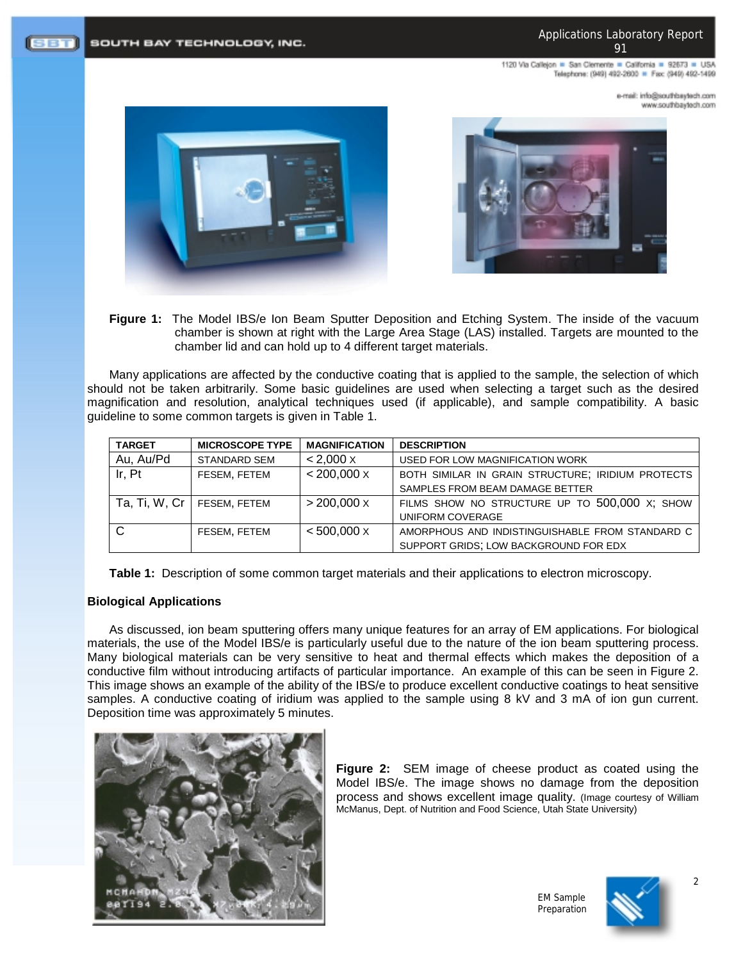1120 Via Callejon = San Clemente = California = 92673 = USA Telephone: (949) 492-2600 = Fax: (949) 492-1499

> mo.rloetysdrtuos@ohri.ilam-e www.southbaytech.com



SOUTH BAY TECHNOLOGY, INC.



**Figure 1:** The Model IBS/e Ion Beam Sputter Deposition and Etching System. The inside of the vacuum chamber is shown at right with the Large Area Stage (LAS) installed. Targets are mounted to the chamber lid and can hold up to 4 different target materials.

Many applications are affected by the conductive coating that is applied to the sample, the selection of which should not be taken arbitrarily. Some basic guidelines are used when selecting a target such as the desired magnification and resolution, analytical techniques used (if applicable), and sample compatibility. A basic guideline to some common targets is given in Table 1.

| <b>TARGET</b> | <b>MICROSCOPE TYPE</b> | <b>MAGNIFICATION</b> | <b>DESCRIPTION</b>                                |
|---------------|------------------------|----------------------|---------------------------------------------------|
| Au, Au/Pd     | <b>STANDARD SEM</b>    | < 2.000 X            | USED FOR LOW MAGNIFICATION WORK                   |
| Ir, Pt        | FESEM, FETEM           | $< 200,000 \times$   | BOTH SIMILAR IN GRAIN STRUCTURE; IRIDIUM PROTECTS |
|               |                        |                      | SAMPLES FROM BEAM DAMAGE BETTER                   |
| Ta, Ti, W, Cr | FESEM, FETEM           | $>$ 200,000 $\times$ | FILMS SHOW NO STRUCTURE UP TO 500,000 X; SHOW     |
|               |                        |                      | UNIFORM COVERAGE                                  |
| C.            | FESEM, FETEM           | $< 500,000 \times$   | AMORPHOUS AND INDISTINGUISHABLE FROM STANDARD C   |
|               |                        |                      | SUPPORT GRIDS; LOW BACKGROUND FOR EDX             |

**Table 1:** Description of some common target materials and their applications to electron microscopy.

# **Biological Applications**

(SBT)

As discussed, ion beam sputtering offers many unique features for an array of EM applications. For biological materials, the use of the Model IBS/e is particularly useful due to the nature of the ion beam sputtering process. Many biological materials can be very sensitive to heat and thermal effects which makes the deposition of a conductive film without introducing artifacts of particular importance. An example of this can be seen in Figure 2. This image shows an example of the ability of the IBS/e to produce excellent conductive coatings to heat sensitive samples. A conductive coating of iridium was applied to the sample using 8 kV and 3 mA of ion gun current. Deposition time was approximately 5 minutes.



**Figure 2:** SEM image of cheese product as coated using the Model IBS/e. The image shows no damage from the deposition process and shows excellent image quality. (Image courtesy of William McManus, Dept. of Nutrition and Food Science, Utah State University)

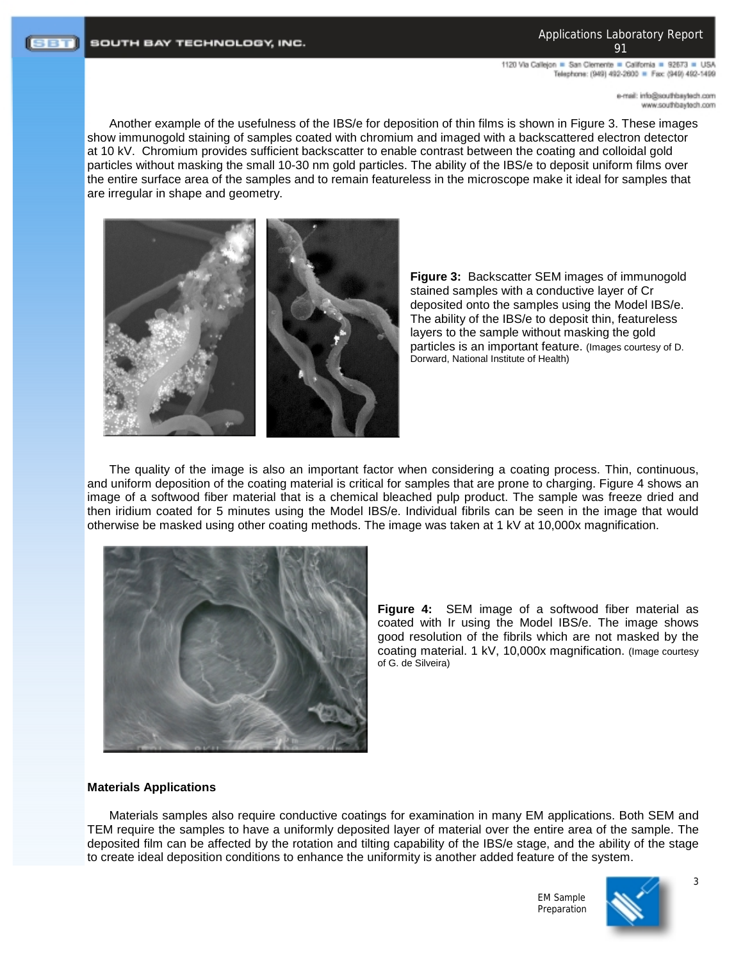Applications Laboratory Report 91

1120 Via Calleion . San Clemente . California . 92673 . USA Telephone: (949) 492-2600 = Fax: (949) 492-1499

> mo.rloetysdrtuos@ohri.ilam-e moo.fbaytedfuoz.www

Another example of the usefulness of the IBS/e for deposition of thin films is shown in Figure 3. These images show immunogold staining of samples coated with chromium and imaged with a backscattered electron detector at 10 kV. Chromium provides sufficient backscatter to enable contrast between the coating and colloidal gold particles without masking the small 10-30 nm gold particles. The ability of the IBS/e to deposit uniform films over the entire surface area of the samples and to remain featureless in the microscope make it ideal for samples that are irregular in shape and geometry.



**Figure 3:** Backscatter SEM images of immunogold stained samples with a conductive layer of Cr deposited onto the samples using the Model IBS/e. The ability of the IBS/e to deposit thin, featureless layers to the sample without masking the gold particles is an important feature. (Images courtesy of D. .<br>Dorward, National Institute of Health)

The quality of the image is also an important factor when considering a coating process. Thin, continuous, and uniform deposition of the coating material is critical for samples that are prone to charging. Figure 4 shows an image of a softwood fiber material that is a chemical bleached pulp product. The sample was freeze dried and then iridium coated for 5 minutes using the Model IBS/e. Individual fibrils can be seen in the image that would otherwise be masked using other coating methods. The image was taken at 1 kV at 10,000x magnification.



**Figure 4:** SEM image of a softwood fiber material as coated with Ir using the Model IBS/e. The image shows good resolution of the fibrils which are not masked by the coating material. 1 kV, 10,000x magnification. (Image courtesy of G. de Silveira)

# **Materials Applications**

Materials samples also require conductive coatings for examination in many EM applications. Both SEM and TEM require the samples to have a uniformly deposited layer of material over the entire area of the sample. The deposited film can be affected by the rotation and tilting capability of the IBS/e stage, and the ability of the stage to create ideal deposition conditions to enhance the uniformity is another added feature of the system.

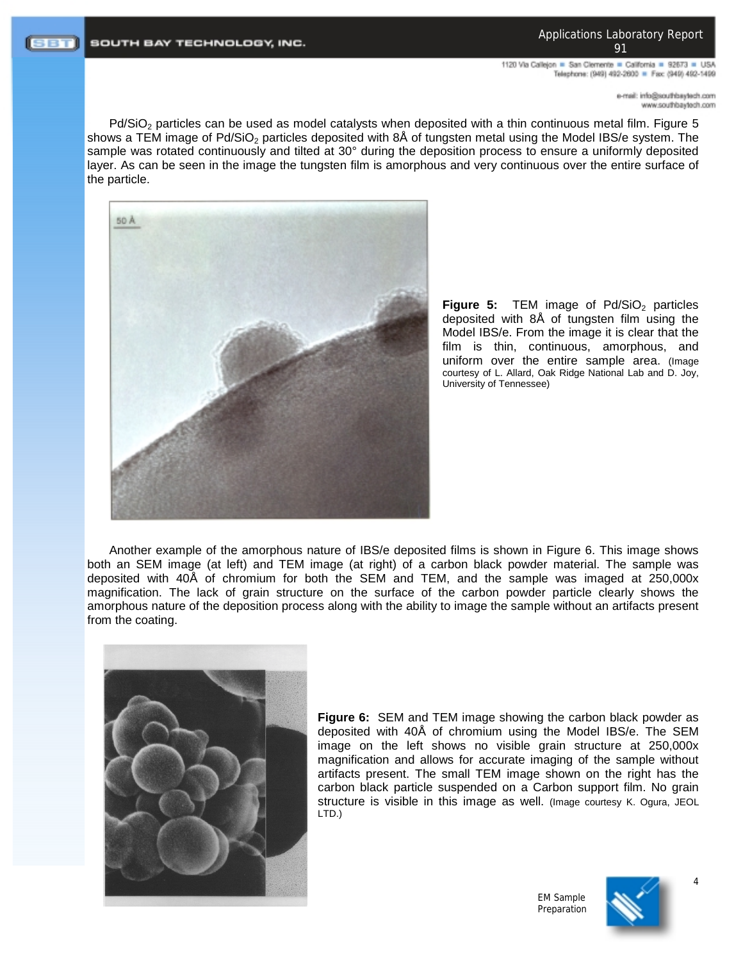1120 Via Callejon = San Clemente = California = 92673 = USA Telephone: (949) 492-2600 = Fax: (949) 492-1499

> mo.rloetysdrtuos@ohri.ilam-e moo.fbaytedh.com

Pd/SiO<sub>2</sub> particles can be used as model catalysts when deposited with a thin continuous metal film. Figure 5 shows a TEM image of Pd/SiO<sub>2</sub> particles deposited with 8Å of tungsten metal using the Model IBS/e system. The sample was rotated continuously and tilted at 30° during the deposition process to ensure a uniformly deposited layer. As can be seen in the image the tungsten film is amorphous and very continuous over the entire surface of the particle.



**Figure 5:** TEM image of Pd/SiO<sub>2</sub> particles deposited with 8Å of tungsten film using the Model IBS/e. From the image it is clear that the film is thin, continuous, amorphous, and uniform over the entire sample area. (Image courtesy of L. Allard, Oak Ridge National Lab and D. Joy, University of Tennessee)

Another example of the amorphous nature of IBS/e deposited films is shown in Figure 6. This image shows both an SEM image (at left) and TEM image (at right) of a carbon black powder material. The sample was deposited with 40Å of chromium for both the SEM and TEM, and the sample was imaged at 250,000x magnification. The lack of grain structure on the surface of the carbon powder particle clearly shows the amorphous nature of the deposition process along with the ability to image the sample without an artifacts present from the coating.



**Figure 6:** SEM and TEM image showing the carbon black powder as deposited with 40Å of chromium using the Model IBS/e. The SEM image on the left shows no visible grain structure at 250,000x magnification and allows for accurate imaging of the sample without artifacts present. The small TEM image shown on the right has the carbon black particle suspended on a Carbon support film. No grain structure is visible in this image as well. (Image courtesy K. Ogura, JEOL LTD.)